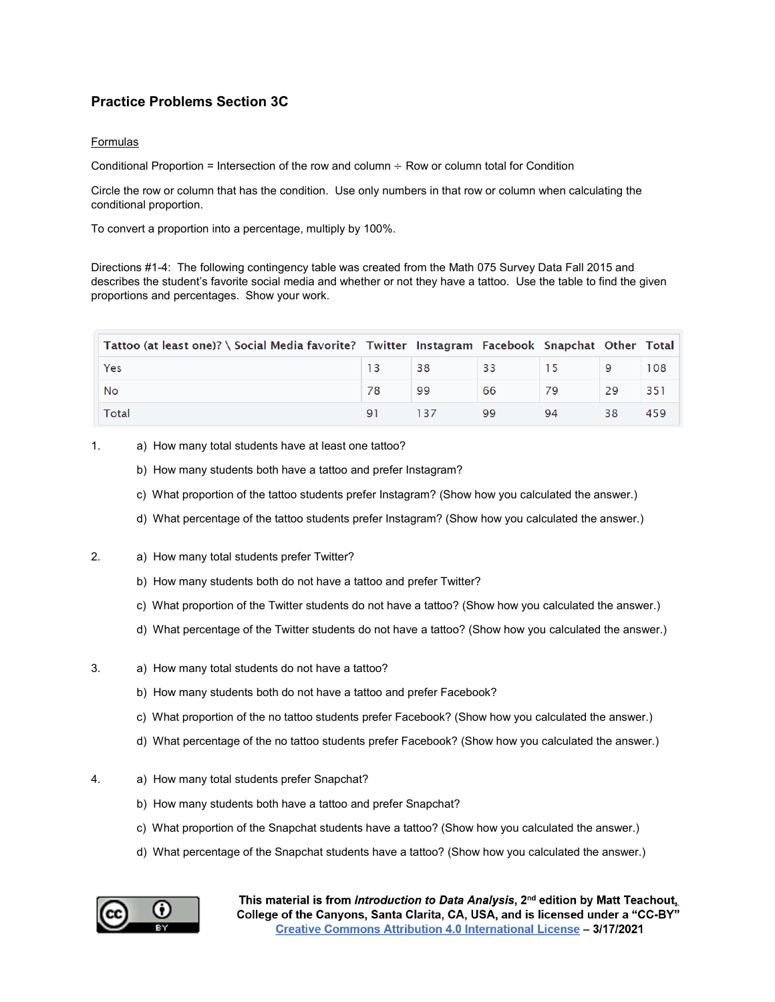## **Practice Problems Section 3C**

## Formulas

Conditional Proportion = Intersection of the row and column  $\div$  Row or column total for Condition

Circle the row or column that has the condition. Use only numbers in that row or column when calculating the conditional proportion.

To convert a proportion into a percentage, multiply by 100%.

Directions #1-4: The following contingency table was created from the Math 075 Survey Data Fall 2015 and describes the student's favorite social media and whether or not they have a tattoo. Use the table to find the given proportions and percentages. Show your work.

| Tattoo (at least one)? \ Social Media favorite? Twitter Instagram Facebook Snapchat Other Total |    |        |    |    |    |     |
|-------------------------------------------------------------------------------------------------|----|--------|----|----|----|-----|
| Yes                                                                                             |    | 38     | 33 |    |    | 108 |
| No                                                                                              |    | 99     | 66 |    |    | 351 |
| Total                                                                                           | 91 | $-137$ | 99 | 94 | 38 | 459 |

- 1. a) How many total students have at least one tattoo?
	- b) How many students both have a tattoo and prefer Instagram?
	- c) What proportion of the tattoo students prefer Instagram? (Show how you calculated the answer.)
	- d) What percentage of the tattoo students prefer Instagram? (Show how you calculated the answer.)
- 2. a) How many total students prefer Twitter?
	- b) How many students both do not have a tattoo and prefer Twitter?
	- c) What proportion of the Twitter students do not have a tattoo? (Show how you calculated the answer.)
	- d) What percentage of the Twitter students do not have a tattoo? (Show how you calculated the answer.)
- 3. a) How many total students do not have a tattoo?
	- b) How many students both do not have a tattoo and prefer Facebook?
	- c) What proportion of the no tattoo students prefer Facebook? (Show how you calculated the answer.)
	- d) What percentage of the no tattoo students prefer Facebook? (Show how you calculated the answer.)
- 4. a) How many total students prefer Snapchat?
	- b) How many students both have a tattoo and prefer Snapchat?
	- c) What proportion of the Snapchat students have a tattoo? (Show how you calculated the answer.)
	- d) What percentage of the Snapchat students have a tattoo? (Show how you calculated the answer.)

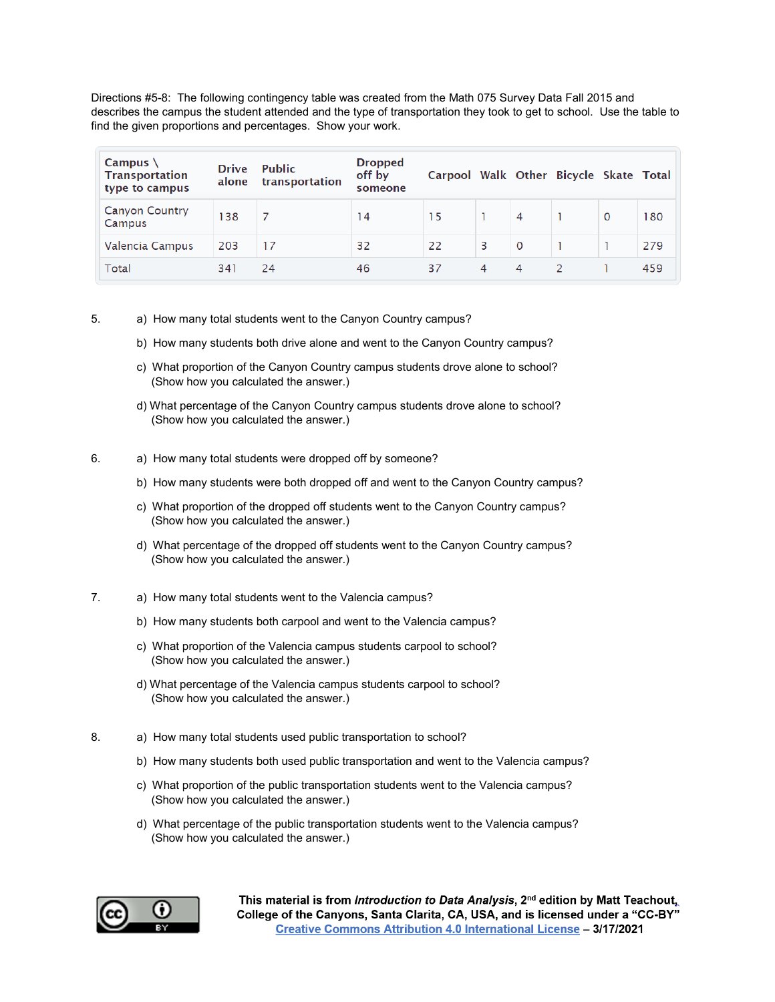Directions #5-8: The following contingency table was created from the Math 075 Survey Data Fall 2015 and describes the campus the student attended and the type of transportation they took to get to school. Use the table to find the given proportions and percentages. Show your work.

| Campus $\setminus$<br><b>Transportation</b><br>type to campus | <b>Drive</b><br>alone | <b>Public</b><br>transportation | <b>Dropped</b><br>off by<br>someone | Carpool Walk Other Bicycle Skate Total |   |             |   |     |
|---------------------------------------------------------------|-----------------------|---------------------------------|-------------------------------------|----------------------------------------|---|-------------|---|-----|
| <b>Canyon Country</b><br>Campus                               | 138                   |                                 | 14                                  | 15                                     |   | 4           | 0 | 180 |
| Valencia Campus                                               | 203                   | 17                              | 32                                  | 22                                     | 3 | $\mathbf 0$ |   | 279 |
| Total                                                         | 341                   | 24                              | 46                                  | 37                                     | 4 | 4           |   | 459 |

- 5. a) How many total students went to the Canyon Country campus?
	- b) How many students both drive alone and went to the Canyon Country campus?
	- c) What proportion of the Canyon Country campus students drove alone to school? (Show how you calculated the answer.)
	- d) What percentage of the Canyon Country campus students drove alone to school? (Show how you calculated the answer.)
- 6. a) How many total students were dropped off by someone?
	- b) How many students were both dropped off and went to the Canyon Country campus?
	- c) What proportion of the dropped off students went to the Canyon Country campus? (Show how you calculated the answer.)
	- d) What percentage of the dropped off students went to the Canyon Country campus? (Show how you calculated the answer.)
- 7. a) How many total students went to the Valencia campus?
	- b) How many students both carpool and went to the Valencia campus?
	- c) What proportion of the Valencia campus students carpool to school? (Show how you calculated the answer.)
	- d) What percentage of the Valencia campus students carpool to school? (Show how you calculated the answer.)
- 8. a) How many total students used public transportation to school?
	- b) How many students both used public transportation and went to the Valencia campus?
	- c) What proportion of the public transportation students went to the Valencia campus? (Show how you calculated the answer.)
	- d) What percentage of the public transportation students went to the Valencia campus? (Show how you calculated the answer.)

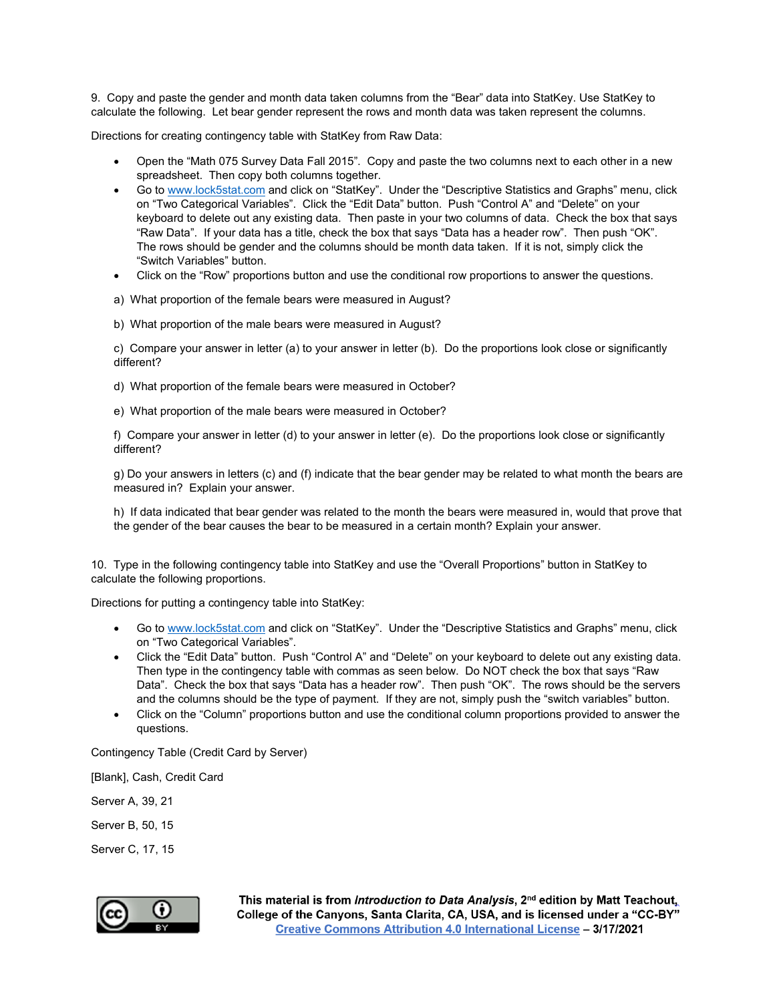9. Copy and paste the gender and month data taken columns from the "Bear" data into StatKey. Use StatKey to calculate the following. Let bear gender represent the rows and month data was taken represent the columns.

Directions for creating contingency table with StatKey from Raw Data:

- Open the "Math 075 Survey Data Fall 2015". Copy and paste the two columns next to each other in a new spreadsheet. Then copy both columns together.
- Go t[o www.lock5stat.com](http://www.lock5stat.com/) and click on "StatKey". Under the "Descriptive Statistics and Graphs" menu, click on "Two Categorical Variables". Click the "Edit Data" button. Push "Control A" and "Delete" on your keyboard to delete out any existing data. Then paste in your two columns of data. Check the box that says "Raw Data". If your data has a title, check the box that says "Data has a header row". Then push "OK". The rows should be gender and the columns should be month data taken. If it is not, simply click the "Switch Variables" button.
- Click on the "Row" proportions button and use the conditional row proportions to answer the questions.
- a) What proportion of the female bears were measured in August?
- b) What proportion of the male bears were measured in August?

c) Compare your answer in letter (a) to your answer in letter (b). Do the proportions look close or significantly different?

- d) What proportion of the female bears were measured in October?
- e) What proportion of the male bears were measured in October?

f) Compare your answer in letter (d) to your answer in letter (e). Do the proportions look close or significantly different?

g) Do your answers in letters (c) and (f) indicate that the bear gender may be related to what month the bears are measured in? Explain your answer.

h) If data indicated that bear gender was related to the month the bears were measured in, would that prove that the gender of the bear causes the bear to be measured in a certain month? Explain your answer.

10. Type in the following contingency table into StatKey and use the "Overall Proportions" button in StatKey to calculate the following proportions.

Directions for putting a contingency table into StatKey:

- Go t[o www.lock5stat.com](http://www.lock5stat.com/) and click on "StatKey". Under the "Descriptive Statistics and Graphs" menu, click on "Two Categorical Variables".
- Click the "Edit Data" button. Push "Control A" and "Delete" on your keyboard to delete out any existing data. Then type in the contingency table with commas as seen below. Do NOT check the box that says "Raw Data". Check the box that says "Data has a header row". Then push "OK". The rows should be the servers and the columns should be the type of payment. If they are not, simply push the "switch variables" button.
- Click on the "Column" proportions button and use the conditional column proportions provided to answer the questions.

Contingency Table (Credit Card by Server)

[Blank], Cash, Credit Card

Server A, 39, 21

Server B, 50, 15

Server C, 17, 15